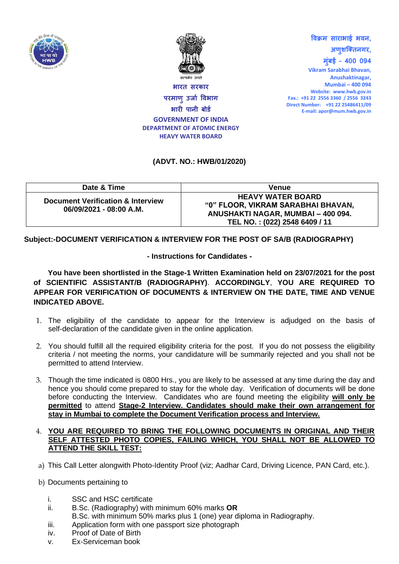



**भारि सरकार परमाणुउर्ाा विभाग भारी पानी बोर्ा GOVERNMENT OF INDIA DEPARTMENT OF ATOMIC ENERGY HEAVY WATER BOARD**

**अणुशक्तिनगर, मुुंबई – 400 094 Vikram Sarabhai Bhavan, Anushaktinagar, Mumbai – 400 094 Website: www.hwb.gov.in Fax.: +91 22 2556 3360 / 2556 3243 Direct Number: +91 22 25486411/09 E-mail: apor@mum.hwb.gov.in**

**विक्रम साराभाई भिन,**

## **(ADVT. NO.: HWB/01/2020)**

| Date & Time                                                             | <b>Venue</b>                                                                                                                          |
|-------------------------------------------------------------------------|---------------------------------------------------------------------------------------------------------------------------------------|
| <b>Document Verification &amp; Interview</b><br>06/09/2021 - 08:00 A.M. | <b>HEAVY WATER BOARD</b><br>"0" FLOOR, VIKRAM SARABHAI BHAVAN,<br>ANUSHAKTI NAGAR, MUMBAI - 400 094.<br>TEL NO.: (022) 2548 6409 / 11 |

**Subject:-DOCUMENT VERIFICATION & INTERVIEW FOR THE POST OF SA/B (RADIOGRAPHY)**

## **- Instructions for Candidates -**

**You have been shortlisted in the Stage-1 Written Examination held on 23/07/2021 for the post of SCIENTIFIC ASSISTANT/B (RADIOGRAPHY)**. **ACCORDINGLY**, **YOU ARE REQUIRED TO APPEAR FOR VERIFICATION OF DOCUMENTS & INTERVIEW ON THE DATE, TIME AND VENUE INDICATED ABOVE.** 

- 1. The eligibility of the candidate to appear for the Interview is adjudged on the basis of self-declaration of the candidate given in the online application.
- 2. You should fulfill all the required eligibility criteria for the post. If you do not possess the eligibility criteria / not meeting the norms, your candidature will be summarily rejected and you shall not be permitted to attend Interview.
- 3. Though the time indicated is 0800 Hrs., you are likely to be assessed at any time during the day and hence you should come prepared to stay for the whole day. Verification of documents will be done before conducting the Interview. Candidates who are found meeting the eligibility **will only be permitted** to attend **Stage-2 Interview. Candidates should make their own arrangement for stay in Mumbai to complete the Document Verification process and Interview.**

## 4. **YOU ARE REQUIRED TO BRING THE FOLLOWING DOCUMENTS IN ORIGINAL AND THEIR SELF ATTESTED PHOTO COPIES, FAILING WHICH, YOU SHALL NOT BE ALLOWED TO ATTEND THE SKILL TEST:**

- a) This Call Letter alongwith Photo-Identity Proof (viz; Aadhar Card, Driving Licence, PAN Card, etc.).
- b) Documents pertaining to
	- i. SSC and HSC certificate
	- ii. B.Sc. (Radiography) with minimum 60% marks **OR**
	- B.Sc. with minimum 50% marks plus 1 (one) year diploma in Radiography.
	- iii. Application form with one passport size photograph
	- iv. Proof of Date of Birth
	- v. Ex-Serviceman book